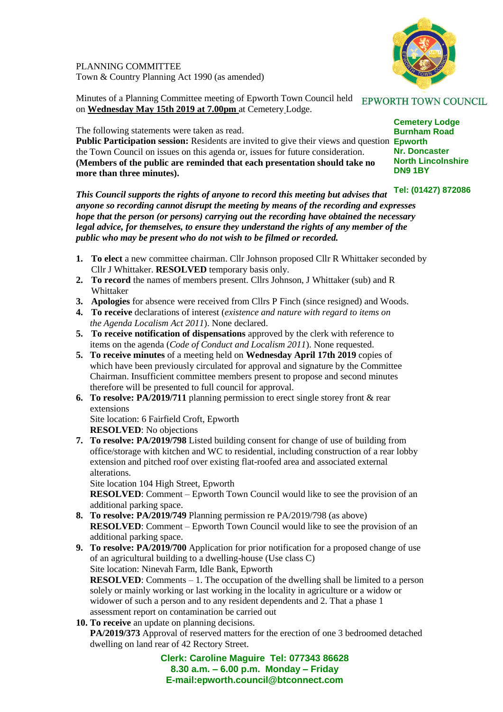

PLANNING COMMITTEE Town & Country Planning Act 1990 (as amended)

Minutes of a Planning Committee meeting of Epworth Town Council held EPWORTH TOWN COUNCIL on **Wednesday May 15th 2019 at 7.00pm** at Cemetery Lodge.

The following statements were taken as read.

**Public Participation session:** Residents are invited to give their views and question **Epworth DN9 1BY** the Town Council on issues on this agenda or, issues for future consideration. **(Members of the public are reminded that each presentation should take no more than three minutes).**

*This Council supports the rights of anyone to record this meeting but advises that anyone so recording cannot disrupt the meeting by means of the recording and expresses hope that the person (or persons) carrying out the recording have obtained the necessary legal advice, for themselves, to ensure they understand the rights of any member of the public who may be present who do not wish to be filmed or recorded.*

- **1. To elect** a new committee chairman. Cllr Johnson proposed Cllr R Whittaker seconded by Cllr J Whittaker. **RESOLVED** temporary basis only.
- **2. To record** the names of members present. Cllrs Johnson, J Whittaker (sub) and R Whittaker
- **3. Apologies** for absence were received from Cllrs P Finch (since resigned) and Woods.
- **4. To receive** declarations of interest (*existence and nature with regard to items on the Agenda Localism Act 2011*). None declared.
- **5. To receive notification of dispensations** approved by the clerk with reference to items on the agenda (*Code of Conduct and Localism 2011*). None requested.
- **5. To receive minutes** of a meeting held on **Wednesday April 17th 2019** copies of which have been previously circulated for approval and signature by the Committee Chairman. Insufficient committee members present to propose and second minutes therefore will be presented to full council for approval.
- **6. To resolve: PA/2019/711** planning permission to erect single storey front & rear extensions

 Site location: 6 Fairfield Croft, Epworth **RESOLVED**: No objections

**7. To resolve: PA/2019/798** Listed building consent for change of use of building from office/storage with kitchen and WC to residential, including construction of a rear lobby extension and pitched roof over existing flat-roofed area and associated external alterations.

Site location 104 High Street, Epworth

**RESOLVED**: Comment – Epworth Town Council would like to see the provision of an additional parking space.

- **8. To resolve: PA/2019/749** Planning permission re PA/2019/798 (as above) **RESOLVED**: Comment – Epworth Town Council would like to see the provision of an additional parking space.
- **9. To resolve: PA/2019/700** Application for prior notification for a proposed change of use of an agricultural building to a dwelling-house (Use class C) Site location: Ninevah Farm, Idle Bank, Epworth **RESOLVED**: Comments – 1. The occupation of the dwelling shall be limited to a person solely or mainly working or last working in the locality in agriculture or a widow or widower of such a person and to any resident dependents and 2. That a phase 1 assessment report on contamination be carried out

## **10. To receive** an update on planning decisions.

 **PA/2019/373** Approval of reserved matters for the erection of one 3 bedroomed detached dwelling on land rear of 42 Rectory Street.

> **Clerk: Caroline Maguire Tel: 077343 86628 8.30 a.m. – 6.00 p.m. Monday – Friday E-mail:epworth.council@btconnect.com**

**Cemetery Lodge Burnham Road Nr. Doncaster North Lincolnshire**

**Tel: (01427) 872086**